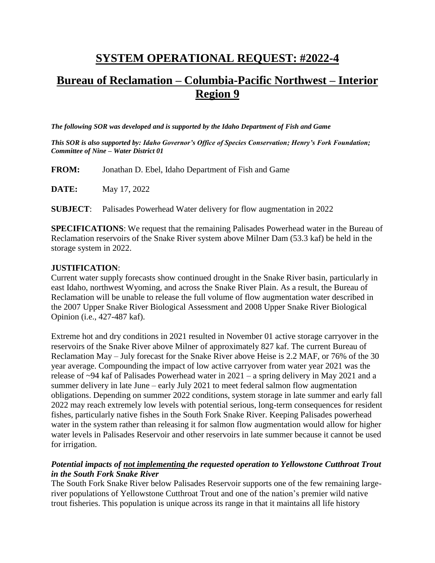## **SYSTEM OPERATIONAL REQUEST: #2022-4**

# **Bureau of Reclamation – Columbia-Pacific Northwest – Interior Region 9**

*The following SOR was developed and is supported by the Idaho Department of Fish and Game*

*This SOR is also supported by: Idaho Governor's Office of Species Conservation; Henry's Fork Foundation; Committee of Nine – Water District 01*

**FROM:** Jonathan D. Ebel, Idaho Department of Fish and Game

**DATE:** May 17, 2022

**SUBJECT**: Palisades Powerhead Water delivery for flow augmentation in 2022

**SPECIFICATIONS**: We request that the remaining Palisades Powerhead water in the Bureau of Reclamation reservoirs of the Snake River system above Milner Dam (53.3 kaf) be held in the storage system in 2022.

#### **JUSTIFICATION**:

Current water supply forecasts show continued drought in the Snake River basin, particularly in east Idaho, northwest Wyoming, and across the Snake River Plain. As a result, the Bureau of Reclamation will be unable to release the full volume of flow augmentation water described in the 2007 Upper Snake River Biological Assessment and 2008 Upper Snake River Biological Opinion (i.e., 427-487 kaf).

Extreme hot and dry conditions in 2021 resulted in November 01 active storage carryover in the reservoirs of the Snake River above Milner of approximately 827 kaf. The current Bureau of Reclamation May – July forecast for the Snake River above Heise is 2.2 MAF, or 76% of the 30 year average. Compounding the impact of low active carryover from water year 2021 was the release of ~94 kaf of Palisades Powerhead water in 2021 – a spring delivery in May 2021 and a summer delivery in late June – early July 2021 to meet federal salmon flow augmentation obligations. Depending on summer 2022 conditions, system storage in late summer and early fall 2022 may reach extremely low levels with potential serious, long-term consequences for resident fishes, particularly native fishes in the South Fork Snake River. Keeping Palisades powerhead water in the system rather than releasing it for salmon flow augmentation would allow for higher water levels in Palisades Reservoir and other reservoirs in late summer because it cannot be used for irrigation.

#### *Potential impacts of not implementing the requested operation to Yellowstone Cutthroat Trout in the South Fork Snake River*

The South Fork Snake River below Palisades Reservoir supports one of the few remaining largeriver populations of Yellowstone Cutthroat Trout and one of the nation's premier wild native trout fisheries. This population is unique across its range in that it maintains all life history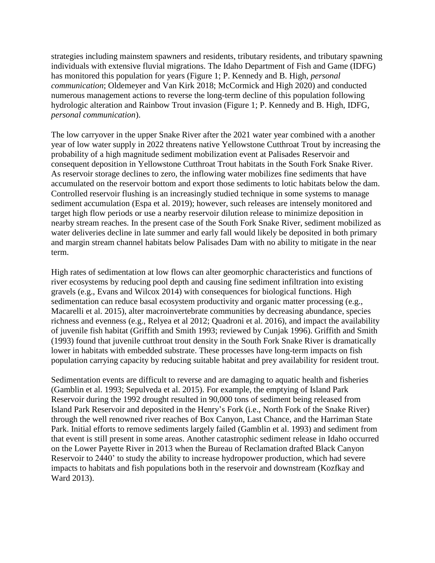strategies including mainstem spawners and residents, tributary residents, and tributary spawning individuals with extensive fluvial migrations. The Idaho Department of Fish and Game (IDFG) has monitored this population for years (Figure 1; P. Kennedy and B. High, *personal communication*; Oldemeyer and Van Kirk 2018; McCormick and High 2020) and conducted numerous management actions to reverse the long-term decline of this population following hydrologic alteration and Rainbow Trout invasion (Figure 1; P. Kennedy and B. High, IDFG, *personal communication*).

The low carryover in the upper Snake River after the 2021 water year combined with a another year of low water supply in 2022 threatens native Yellowstone Cutthroat Trout by increasing the probability of a high magnitude sediment mobilization event at Palisades Reservoir and consequent deposition in Yellowstone Cutthroat Trout habitats in the South Fork Snake River. As reservoir storage declines to zero, the inflowing water mobilizes fine sediments that have accumulated on the reservoir bottom and export those sediments to lotic habitats below the dam. Controlled reservoir flushing is an increasingly studied technique in some systems to manage sediment accumulation (Espa et al. 2019); however, such releases are intensely monitored and target high flow periods or use a nearby reservoir dilution release to minimize deposition in nearby stream reaches. In the present case of the South Fork Snake River, sediment mobilized as water deliveries decline in late summer and early fall would likely be deposited in both primary and margin stream channel habitats below Palisades Dam with no ability to mitigate in the near term.

High rates of sedimentation at low flows can alter geomorphic characteristics and functions of river ecosystems by reducing pool depth and causing fine sediment infiltration into existing gravels (e.g., Evans and Wilcox 2014) with consequences for biological functions. High sedimentation can reduce basal ecosystem productivity and organic matter processing (e.g., Macarelli et al. 2015), alter macroinvertebrate communities by decreasing abundance, species richness and evenness (e.g., Relyea et al 2012; Quadroni et al. 2016), and impact the availability of juvenile fish habitat (Griffith and Smith 1993; reviewed by Cunjak 1996). Griffith and Smith (1993) found that juvenile cutthroat trout density in the South Fork Snake River is dramatically lower in habitats with embedded substrate. These processes have long-term impacts on fish population carrying capacity by reducing suitable habitat and prey availability for resident trout.

Sedimentation events are difficult to reverse and are damaging to aquatic health and fisheries (Gamblin et al. 1993; Sepulveda et al. 2015). For example, the emptying of Island Park Reservoir during the 1992 drought resulted in 90,000 tons of sediment being released from Island Park Reservoir and deposited in the Henry's Fork (i.e., North Fork of the Snake River) through the well renowned river reaches of Box Canyon, Last Chance, and the Harriman State Park. Initial efforts to remove sediments largely failed (Gamblin et al. 1993) and sediment from that event is still present in some areas. Another catastrophic sediment release in Idaho occurred on the Lower Payette River in 2013 when the Bureau of Reclamation drafted Black Canyon Reservoir to 2440' to study the ability to increase hydropower production, which had severe impacts to habitats and fish populations both in the reservoir and downstream (Kozfkay and Ward 2013).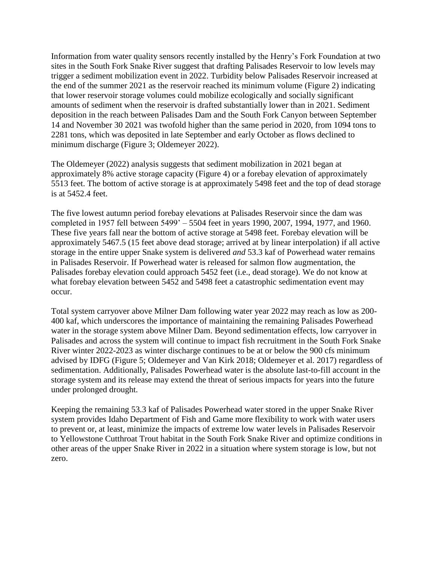Information from water quality sensors recently installed by the Henry's Fork Foundation at two sites in the South Fork Snake River suggest that drafting Palisades Reservoir to low levels may trigger a sediment mobilization event in 2022. Turbidity below Palisades Reservoir increased at the end of the summer 2021 as the reservoir reached its minimum volume (Figure 2) indicating that lower reservoir storage volumes could mobilize ecologically and socially significant amounts of sediment when the reservoir is drafted substantially lower than in 2021. Sediment deposition in the reach between Palisades Dam and the South Fork Canyon between September 14 and November 30 2021 was twofold higher than the same period in 2020, from 1094 tons to 2281 tons, which was deposited in late September and early October as flows declined to minimum discharge (Figure 3; Oldemeyer 2022).

The Oldemeyer (2022) analysis suggests that sediment mobilization in 2021 began at approximately 8% active storage capacity (Figure 4) or a forebay elevation of approximately 5513 feet. The bottom of active storage is at approximately 5498 feet and the top of dead storage is at 5452.4 feet.

The five lowest autumn period forebay elevations at Palisades Reservoir since the dam was completed in 1957 fell between 5499' – 5504 feet in years 1990, 2007, 1994, 1977, and 1960. These five years fall near the bottom of active storage at 5498 feet. Forebay elevation will be approximately 5467.5 (15 feet above dead storage; arrived at by linear interpolation) if all active storage in the entire upper Snake system is delivered *and* 53.3 kaf of Powerhead water remains in Palisades Reservoir. If Powerhead water is released for salmon flow augmentation, the Palisades forebay elevation could approach 5452 feet (i.e., dead storage). We do not know at what forebay elevation between 5452 and 5498 feet a catastrophic sedimentation event may occur.

Total system carryover above Milner Dam following water year 2022 may reach as low as 200- 400 kaf, which underscores the importance of maintaining the remaining Palisades Powerhead water in the storage system above Milner Dam. Beyond sedimentation effects, low carryover in Palisades and across the system will continue to impact fish recruitment in the South Fork Snake River winter 2022-2023 as winter discharge continues to be at or below the 900 cfs minimum advised by IDFG (Figure 5; Oldemeyer and Van Kirk 2018; Oldemeyer et al. 2017) regardless of sedimentation. Additionally, Palisades Powerhead water is the absolute last-to-fill account in the storage system and its release may extend the threat of serious impacts for years into the future under prolonged drought.

Keeping the remaining 53.3 kaf of Palisades Powerhead water stored in the upper Snake River system provides Idaho Department of Fish and Game more flexibility to work with water users to prevent or, at least, minimize the impacts of extreme low water levels in Palisades Reservoir to Yellowstone Cutthroat Trout habitat in the South Fork Snake River and optimize conditions in other areas of the upper Snake River in 2022 in a situation where system storage is low, but not zero.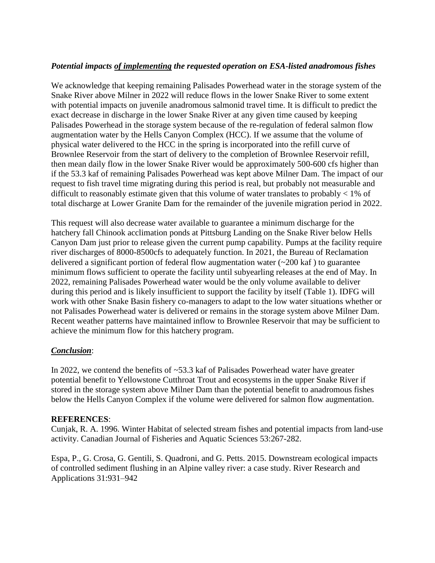### *Potential impacts of implementing the requested operation on ESA-listed anadromous fishes*

We acknowledge that keeping remaining Palisades Powerhead water in the storage system of the Snake River above Milner in 2022 will reduce flows in the lower Snake River to some extent with potential impacts on juvenile anadromous salmonid travel time. It is difficult to predict the exact decrease in discharge in the lower Snake River at any given time caused by keeping Palisades Powerhead in the storage system because of the re-regulation of federal salmon flow augmentation water by the Hells Canyon Complex (HCC). If we assume that the volume of physical water delivered to the HCC in the spring is incorporated into the refill curve of Brownlee Reservoir from the start of delivery to the completion of Brownlee Reservoir refill, then mean daily flow in the lower Snake River would be approximately 500-600 cfs higher than if the 53.3 kaf of remaining Palisades Powerhead was kept above Milner Dam. The impact of our request to fish travel time migrating during this period is real, but probably not measurable and difficult to reasonably estimate given that this volume of water translates to probably < 1% of total discharge at Lower Granite Dam for the remainder of the juvenile migration period in 2022.

This request will also decrease water available to guarantee a minimum discharge for the hatchery fall Chinook acclimation ponds at Pittsburg Landing on the Snake River below Hells Canyon Dam just prior to release given the current pump capability. Pumps at the facility require river discharges of 8000-8500cfs to adequately function. In 2021, the Bureau of Reclamation delivered a significant portion of federal flow augmentation water  $(\sim 200 \text{ kaf})$  to guarantee minimum flows sufficient to operate the facility until subyearling releases at the end of May. In 2022, remaining Palisades Powerhead water would be the only volume available to deliver during this period and is likely insufficient to support the facility by itself (Table 1). IDFG will work with other Snake Basin fishery co-managers to adapt to the low water situations whether or not Palisades Powerhead water is delivered or remains in the storage system above Milner Dam. Recent weather patterns have maintained inflow to Brownlee Reservoir that may be sufficient to achieve the minimum flow for this hatchery program.

#### *Conclusion*:

In 2022, we contend the benefits of ~53.3 kaf of Palisades Powerhead water have greater potential benefit to Yellowstone Cutthroat Trout and ecosystems in the upper Snake River if stored in the storage system above Milner Dam than the potential benefit to anadromous fishes below the Hells Canyon Complex if the volume were delivered for salmon flow augmentation.

#### **REFERENCES**:

Cunjak, R. A. 1996. Winter Habitat of selected stream fishes and potential impacts from land-use activity. Canadian Journal of Fisheries and Aquatic Sciences 53:267-282.

Espa, P., G. Crosa, G. Gentili, S. Quadroni, and G. Petts. 2015. Downstream ecological impacts of controlled sediment flushing in an Alpine valley river: a case study. River Research and Applications 31:931–942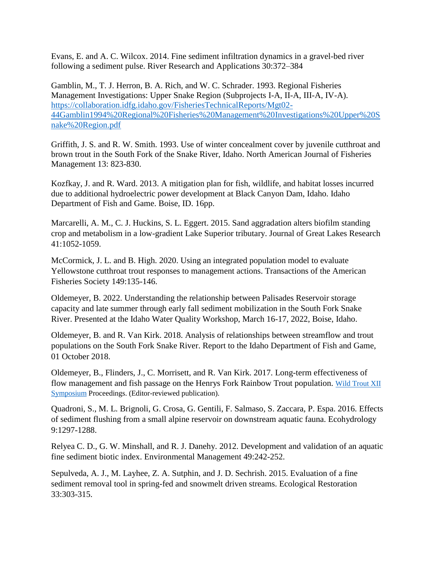Evans, E. and A. C. Wilcox. 2014. Fine sediment infiltration dynamics in a gravel-bed river following a sediment pulse. River Research and Applications 30:372–384

Gamblin, M., T. J. Herron, B. A. Rich, and W. C. Schrader. 1993. Regional Fisheries Management Investigations: Upper Snake Region (Subprojects I-A, II-A, III-A, IV-A). [https://collaboration.idfg.idaho.gov/FisheriesTechnicalReports/Mgt02-](https://collaboration.idfg.idaho.gov/FisheriesTechnicalReports/Mgt02-44Gamblin1994%20Regional%20Fisheries%20Management%20Investigations%20Upper%20Snake%20Region.pdf) [44Gamblin1994%20Regional%20Fisheries%20Management%20Investigations%20Upper%20S](https://collaboration.idfg.idaho.gov/FisheriesTechnicalReports/Mgt02-44Gamblin1994%20Regional%20Fisheries%20Management%20Investigations%20Upper%20Snake%20Region.pdf) [nake%20Region.pdf](https://collaboration.idfg.idaho.gov/FisheriesTechnicalReports/Mgt02-44Gamblin1994%20Regional%20Fisheries%20Management%20Investigations%20Upper%20Snake%20Region.pdf)

Griffith, J. S. and R. W. Smith. 1993. Use of winter concealment cover by juvenile cutthroat and brown trout in the South Fork of the Snake River, Idaho. North American Journal of Fisheries Management 13: 823-830.

Kozfkay, J. and R. Ward. 2013. A mitigation plan for fish, wildlife, and habitat losses incurred due to additional hydroelectric power development at Black Canyon Dam, Idaho. Idaho Department of Fish and Game. Boise, ID. 16pp.

Marcarelli, A. M., C. J. Huckins, S. L. Eggert. 2015. Sand aggradation alters biofilm standing crop and metabolism in a low-gradient Lake Superior tributary. Journal of Great Lakes Research 41:1052-1059.

McCormick, J. L. and B. High. 2020. Using an integrated population model to evaluate Yellowstone cutthroat trout responses to management actions. Transactions of the American Fisheries Society 149:135-146.

Oldemeyer, B. 2022. Understanding the relationship between Palisades Reservoir storage capacity and late summer through early fall sediment mobilization in the South Fork Snake River. Presented at the Idaho Water Quality Workshop, March 16-17, 2022, Boise, Idaho.

Oldemeyer, B. and R. Van Kirk. 2018. Analysis of relationships between streamflow and trout populations on the South Fork Snake River. Report to the Idaho Department of Fish and Game, 01 October 2018.

Oldemeyer, B., Flinders, J., C. Morrisett, and R. Van Kirk. 2017. Long-term effectiveness of flow management and fish passage on the Henrys Fork Rainbow Trout population. Wild [Trout](https://www.wildtroutsymposium.com/wildTroutXII.php) XII [Symposium](https://www.wildtroutsymposium.com/wildTroutXII.php) Proceedings. (Editor-reviewed publication).

Quadroni, S., M. L. Brignoli, G. Crosa, G. Gentili, F. Salmaso, S. Zaccara, P. Espa. 2016. Effects of sediment flushing from a small alpine reservoir on downstream aquatic fauna. Ecohydrology 9:1297-1288.

Relyea C. D., G. W. Minshall, and R. J. Danehy. 2012. Development and validation of an aquatic fine sediment biotic index. Environmental Management 49:242-252.

Sepulveda, A. J., M. Layhee, Z. A. Sutphin, and J. D. Sechrish. 2015. Evaluation of a fine sediment removal tool in spring-fed and snowmelt driven streams. Ecological Restoration 33:303-315.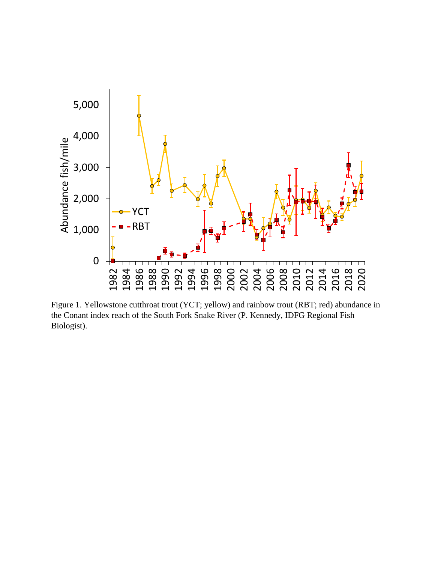

Figure 1. Yellowstone cutthroat trout (YCT; yellow) and rainbow trout (RBT; red) abundance in the Conant index reach of the South Fork Snake River (P. Kennedy, IDFG Regional Fish Biologist).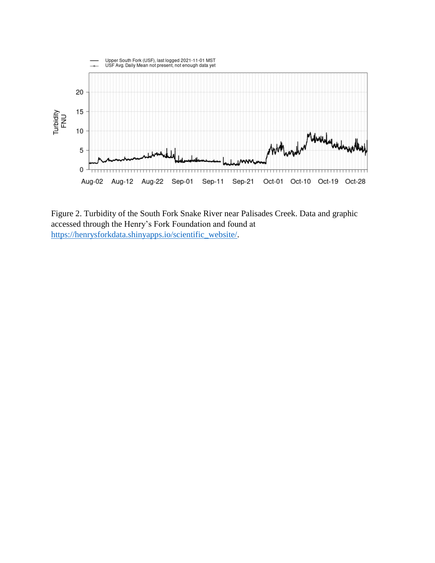

Figure 2. Turbidity of the South Fork Snake River near Palisades Creek. Data and graphic accessed through the Henry's Fork Foundation and found at [https://henrysforkdata.shinyapps.io/scientific\\_website/.](https://henrysforkdata.shinyapps.io/scientific_website/)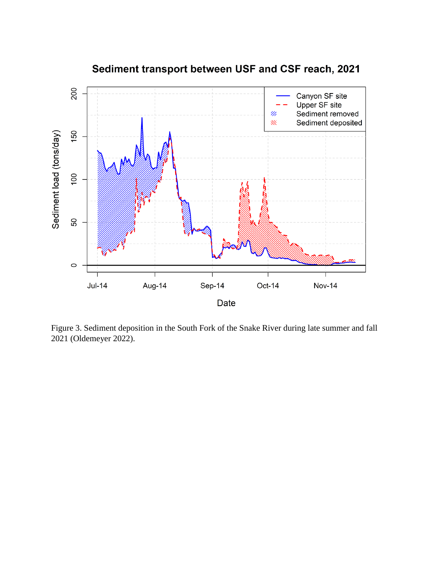

Sediment transport between USF and CSF reach, 2021

Figure 3. Sediment deposition in the South Fork of the Snake River during late summer and fall 2021 (Oldemeyer 2022).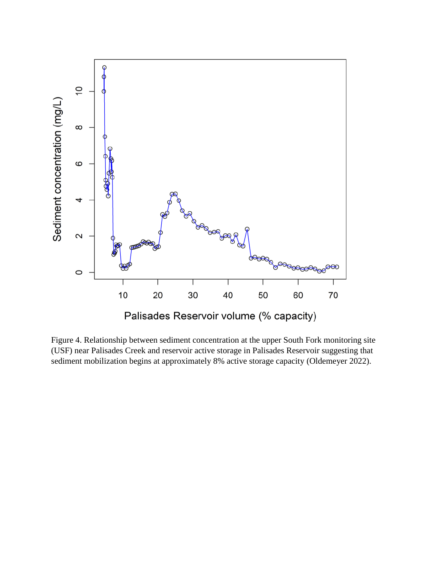

Figure 4. Relationship between sediment concentration at the upper South Fork monitoring site (USF) near Palisades Creek and reservoir active storage in Palisades Reservoir suggesting that sediment mobilization begins at approximately 8% active storage capacity (Oldemeyer 2022).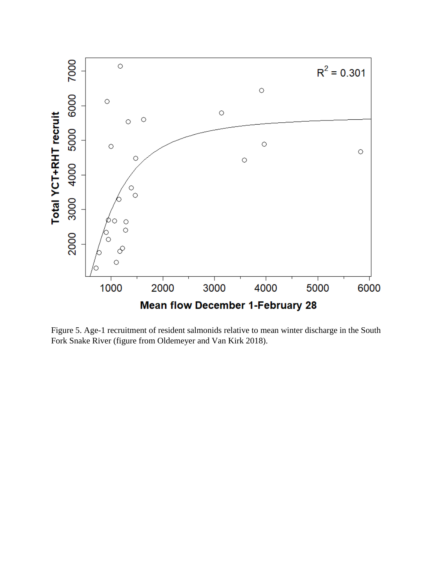

Figure 5. Age-1 recruitment of resident salmonids relative to mean winter discharge in the South Fork Snake River (figure from Oldemeyer and Van Kirk 2018).